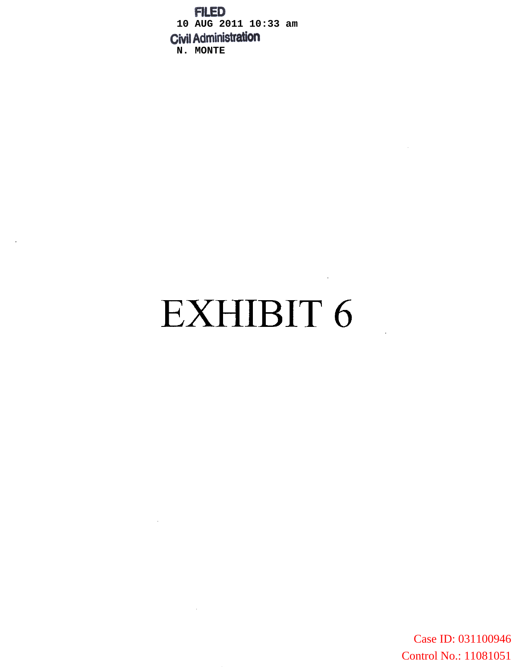**FILED 10 AUG 2011 10:33 am N. MONTE**

# EXHIBIT 6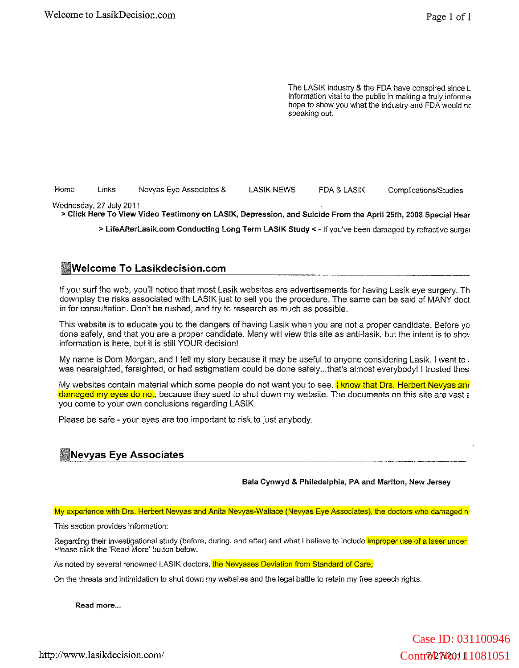The LASIK Industry & the FDA have conspired since L information vital to the public in making a truly informed hope to show you what the industry and FDA would nc speaking out.

Home Links Nevyas Eye Associates & LASIK NEWS FDA & LASIK Complications/Studies

Wednesday. 27 July 2011

> Click Here To View Video Testimony on LASIK, Depression, and Suicide From the April 25th, 2008 Special Hear

> LifeAfterLasik.com Conducting Long Term LASIK Study < - If you've been damaged by refractive surget

# **IWelcome To Lasikdecision.com**

If you surf the web, you'll notice that most Lasik websites are advertisements for having Lasik eye surgery. Th downplay the risks associated with LASIK just to sell you the procedure. The same can be said of MANY doct in for consultation. Don't be rushed, and try to research as much as possible.

This website is to educate you to the dangers of having Lasik when you are not a proper candidate. Before yo done safely, and that you are a proper candidate. Many will view this site as anti-lasik, but the intent is to shov information is here, but it is stili YOUR decision!

My name is Dam Morgan, and I tell my story because it may be useful to anyone considering Lasik. I went to : was nearsighted, farsighted, or had astigmatism could be done safely...that's almost everybody! I trusted thes

My websites contain material which some people do not want you to see. I know that Drs. Herbert Nevyas and damaged my eyes do not, because they sued to shut down my website. The documents on this site are vast a you come to your own conclusions regarding LASIK.

Please be safe - your eyes are too important to risk to just anybody.

## **INevyas Eye Associates**

Bala Cynwyd & Philadelphia, PA and Marlton, New Jersey

## My experience with Drs. Herbert Nevyas and Anita Nevyas-Wallace (Nevyas Eye Associates), the doctors who damaged n

**This section provides information:**

Regarding their investigational study (before, during, and after) and what I believe to include *improper use of a laser under* Please click the 'Read More' button below.

As noted by several renowned LASIK doctors, the Nevyases Deviation from Standard of Care;

On the threats and intimidation to shut down my websites and the legal battle to retain my free speech rights.

**Read more...**

http://www.lasikdecision.com/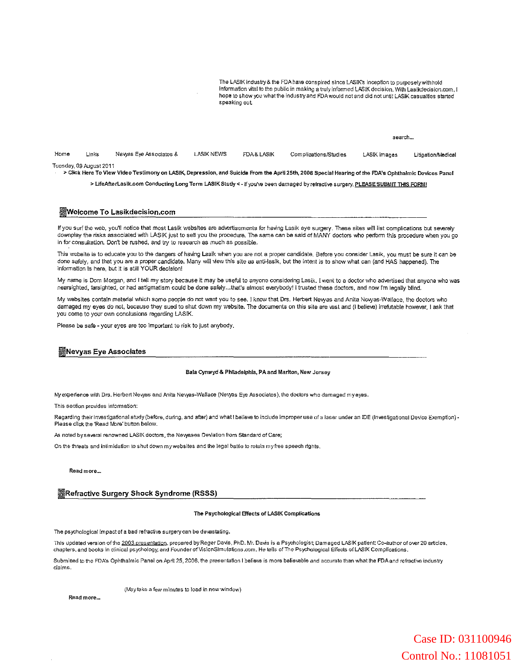The LASIK industry & the FDA have conspired since LASIK's inception to purposely withhold information vital to the public in making a truly informed LASIK decision. With Lasikdecision.com, I hope to show you what the industry and FDA would not and did not until LASIK casualties started speaking out

|      |                         |                        |                   |            |                       | search       |                   |
|------|-------------------------|------------------------|-------------------|------------|-----------------------|--------------|-------------------|
| Home | Links                   | Newas Eye Associates & | <b>LASIK NEWS</b> | FDA& LASIK | Complications/Studies | LASIK Images | Litigation/Medica |
|      | Tuesday, 09 August 2011 |                        |                   |            |                       |              |                   |

> Click Here To View Video Testimony on LASIK, Depression, and Suicide From the April 25th, 2008 Special Hearing of the FDA's Ophthalmic Devices Panel

> LifeAfterLasik.com Conducting Long Term LASIK Study <- If you've been damaged by refractive surgery, PLEASE SUBMIT THIS FORM!

#### IWelcome To Lasikdecision.com

If you surf the web, you'll notice that most Lasik websites are advertisements for having Lasik eye surgery. These sites will list complications but severely downplay the risks associated with LASIK just to sell you the procedure. The same can be said of MANY doctors who perform this procedure when you go in for consultation. Don't be rushed, and try to research as much as possible.

This website is to educate you to the dangers of having Lasik when you are not a proper candidate. Before you consider Lasik, you must be sure it can be done safely, and that you are a proper candidate. Many will view this site as anti-lasik, but the intent is to show what can (and HAS happened). The information is here, but it is still YOUR decision!

My name is Dom Morgan, and I tell my story because it may be useful to anyone considering Lasik. I went to a doctor who advertised that anyone who was nearsighted, farsighted, or had astigmatism could be done safely...that's almost everybody! I trusted these doctors, and now rm legally blind.

My websites contain material which some people do not want you to see. I know that Drs. Herbert Newas and Anita Newas-Wallace, the doctors who damaged my eyes do not, because they sued to shut down my website. The documents on this site are vast and (I believe) irrefutable however, I ask that you come to your own conclusions regarding LASIK.

Please be safe - your eyes are too important to risk to just anybody.

#### INevyas Eye Associates

#### Bala Cynwyd & Philadelphia, PA and Marlton, New Jersey

My experience with Drs. Herbert Nevyas and Anita Nevyas-Wallace (Nevyas Eye Associates), the doctors who damaged myeyes.

This section provides information:

Regarding their investigational study (before, during, and after) and what I believe to include improper use of a laser under an IDE (Investigational Device Exemption) -Please click the 'Read More' button below.

As noted by several renowned LASIK doctors, the Newases Deviation from Standard of Care;

On the threats and intimidation to shut down my websites and the legal battle to retain my free speech rights.

Read more-.

#### IRefractive Surgery Shock Syndrome (RSSS)

#### The Psychological Effects of LASIK Complications

The psychological impact of a bad refractive surgery can be devastating.

This updated version of the 2003 presentation, prepared by Roger Davis, PhD. Mr. Davis is a Psychologist; Damaged LASIK patient; Co-author of over 20 articles, chapters, and books in clinical psychology; and Founder of VisionSimulations.com. He tells of The Psychological Effects of LASIK Complications.

Submitted to the FDA's Ophthaimic Panel on April 25, 2008, the presentation I believe is more believeble and accurate than what the FDA and refractive industry claims.

(May take a few minutes to load in new window)

Readmore.\_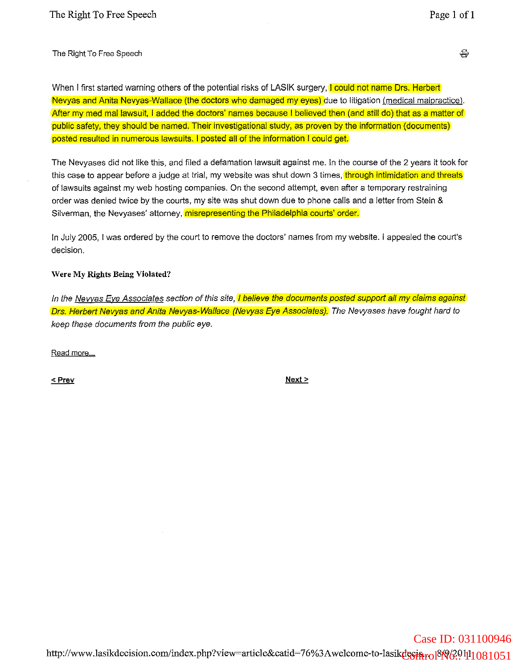The Right To Free Speech

When I first started warning others of the potential risks of LASIK surgery, I could not name Drs. Herbert Nevyas and Anita Nevyas-Wallace (the doctors who damaged my eyes) due to litigation (medical malpractice). After my med mal lawsuit, I added the doctors' names because I believed then (and still do) that as a matter of public safety, they should be named. Their investigational study, as proven by the information (documents) posted resulted in numerous lawsuits. I posted all of the information I could get.

The Nevyases did not like this, and filed a defamation lawsuit against me. In the course of the 2 years it took for this case to appear before a judge at trial, my website was shut down 3 times, through intimidation and threats of lawsuits against my web hosting companies. On the second attempt, even after a temporary restraining order was denied twice by the courts, my site was shut down due to phone calls and a letter from Stein & Silverman, the Nevyases' attorney, misrepresenting the Philadelphia courts' order.

In July 2005, I was ordered by the court to remove the doctors' names from my website. I appealed the court's decision.

## Were My Rights Being Violated?

In the Nevyas Eye Associates section of this site, *I believe the documents posted support all my claims against* Drs. Herbert Nevyas and Anita Nevyas-Wallace (Nevyas Eye Associates). The Nevyases have fought hard to keep these documents from the public eye.

**Read more**

 $<$  Prev

 $Next >$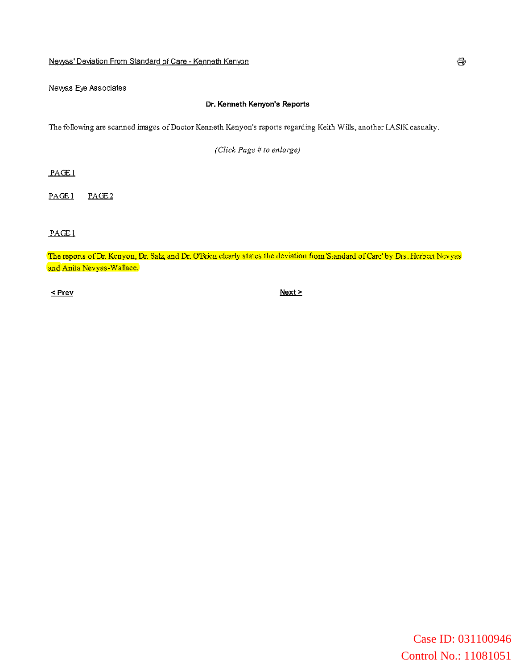## **Nevvas' Deviation From Standard of Care - Kenneth Kenyon**

Nevyas Eye Associates

## **Dr.** Kenneth Kenyon's Reports

 $T$ he following are scanned images of Doctor Kenneth Kenyon's reports regarding Keith Wills, another LASIK casualty.

*(Click Page* # *to enlarge)*

PAGEl

PAGE1 PAGE<sub>2</sub>

PAGEl

The reports of Dr. Kenyon, Dr. Salz, and Dr. O'Brien clearly states the deviation from 'Standard of Care' by Drs. Herbert Nevyas **and Anita Nevyas-Wallace.**

 $\leq$  Prev

 $Next >$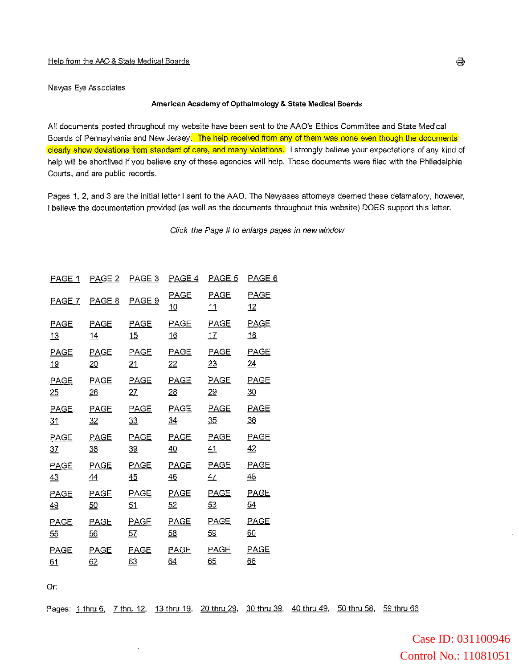Nevyas Eye Associates

### **American Academy of Opthalmology & State Medical** Boards

All documents posted throughout my website have been sent to the AAO's Ethics Committee and State Medical Boards of Pennsylvania and New Jersey. The help received from any of them was none even though the documents clearly show deviations from standard of care, and many violations. I strongly believe your expectations of any kind of help will be shortlived if you believe any of these agencies will help. These documents were filed with the Philadelphia Courts, and are public records.

Pages 1, 2, and 3 are the initial letter I sent to the AAO. The Newases attomeys deemed these defamatory, however, I believe the documentation provided (as well as the documents throughout this website) DOES support this letter.

Click the Page # to enlarge pages in new window

| PAGE 1          | PAGE 2          | PAGE 3           | <u>PAGE 4</u>     | <u>PAGE 5</u>   | <u>PAGE 6</u>     |
|-----------------|-----------------|------------------|-------------------|-----------------|-------------------|
| PAGE 7          | PAGE 8          | PAGE 9           | <b>PAGE</b><br>10 | PAGE<br>11      | <b>PAGE</b><br>12 |
| <b>PAGE</b>     | <b>PAGE</b>     | <b>PAGE</b>      | <b>PAGE</b>       | <b>PAGE</b>     | <b>PAGE</b>       |
| 13              | 14              | 15               | <u>16</u>         | 17              | 18                |
| <b>PAGE</b>     | <b>PAGE</b>     | PAGE             | <b>PAGE</b>       | PAGE            | <b>PAGE</b>       |
| 19              | $\overline{20}$ | $\underline{21}$ | $\frac{22}{2}$    | 23              | $\underline{24}$  |
| <b>PAGE</b>     | PAGE            | <b>PAGE</b>      | <b>PAGE</b>       | PAGE            | PAGE              |
| 25              | 26              | 27               | $\overline{28}$   | $\overline{29}$ | $\overline{30}$   |
| <b>PAGE</b>     | <b>PAGE</b>     | PAGE             | <b>PAGE</b>       | PAGE            | <b>PAGE</b>       |
| $\overline{31}$ | 32              | 33               | $\frac{34}{1}$    | 35              | 36                |
| <b>PAGE</b>     | PAGE            | PAGE             | <b>PAGE</b>       | PAGE            | PAGE              |
| 37              | 38              | 39               | 40                | 41              | 42                |
| <b>PAGE</b>     | PAGE            | <b>PAGE</b>      | <b>PAGE</b>       | PAGE            | PAGE              |
| 43              | 44              | 45               | 46                | 47              | 48                |
| <b>PAGE</b>     | PAGE            | <b>PAGE</b>      | <b>PAGE</b>       | <b>PAGE</b>     | PAGE              |
| 49              | 50              | 51               | 52                | 53              | 54                |
| PAGE            | <b>PAGE</b>     | <b>PAGE</b>      | <b>PAGE</b>       | <b>PAGE</b>     | <b>PAGE</b>       |
| 55              | 56              | <u>57</u>        | $rac{58}{56}$     | <u>59</u>       | 60                |
| <b>PAGE</b>     | <b>PAGE</b>     | <b>PAGE</b>      | <b>PAGE</b>       | PAGE            | PAGE              |
| 61              | 62              | 63               | 64                | 65              | 66                |

Or:

Pages: 1 thru 6, 7 thru 12, 13 thru 19, 20 thru 29, 30 thru 39, 40 thru 49, 50 thru 58, 59 thru 66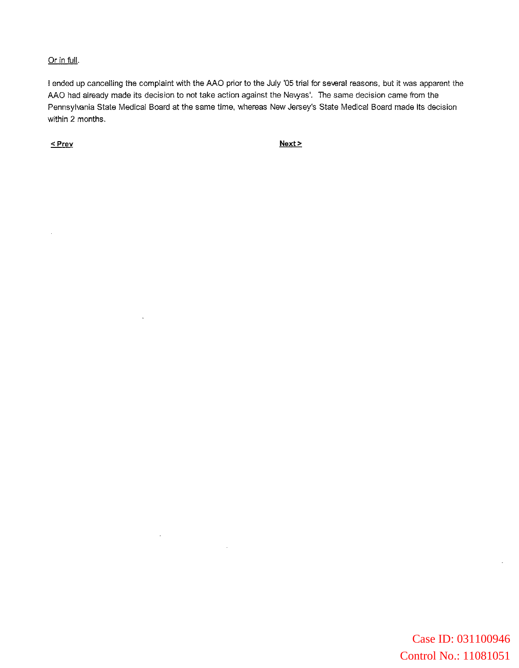## Or in full.

I ended up cancelling the complaint with the AAO prior to the July '05 trial for several reasons, but it was apparent the AAO had already made its decision to not take action against the Newas'. The same decision came from the Pennsylvania State Medical Board at the same time, whereas New Jersey's State Medical Board made its decision within 2 months.

 $\leq$  Prev

 $\overline{\phantom{a}}$ 

 $Next >$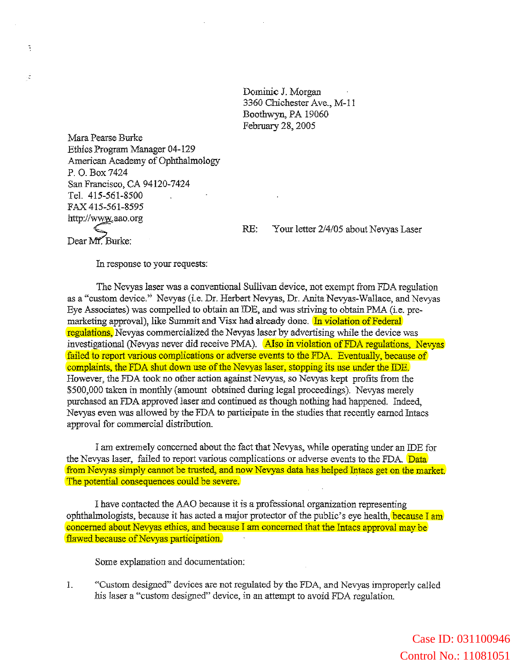Dominic 1. Morgan 3360 Chichester Ave., M-11 Boothwyn, PA 19060 February 28, 2005

Mara Pearse Burke Ethics Program Manager 04-129 American Academy of Ophthalmology P. O. Box 7424 San Francisco, CA 94120-7424 Tel. 415-561-8500 FAX 415-561-8595 http://www.aao.org

Dear Mr. Burke:

 $\ddot{\phantom{0}}$ 

 $\frac{1}{\hbar}$ 

RE: Your letter 2/4/05 about Nevyas Laser

In response to your requests:

The Nevyas laser was a conventional Sullivan device, not exempt from FDA regulation as a «custom device." Nevyas (i.e. Dr. Herbert Nevyas, Dr. Anita Nevyas-Wallace, and Nevyas Eye Associates) was compelled to obtain an IDE, and was striving to obtain PMA (i.e. premarketing approval), like Summit and Visx had already done. In violation of Federal regulations, Nevyas commercialized the Nevyas laser by advertising while the device was investigational (Nevyas never did receive PMA). Also in violation of FDA regulations, Nevyas failed to report various complications or adverse events to the FDA. Eventually, because of complaints, the FDA shut down use of the Nevyas laser, stopping its use under the IDE. However, the FDA took no other action against Nevyas, so Nevyas kept profits from the \$500,000 taken in monthly (amount obtained during legal proceedings). Nevyas merely purchased an FDA approved laser and continued as though nothing had happened. Indeed, Nevyas even was allowed by the FDA to participate in the studies that recently earned Intacs approval for commercial distribution.

I am extremely concerned about me fact that Nevyas, while operating under an IDE for the Nevyas laser, failed to report various complications or adverse events to the FDA. Data from Nevyas simply cannot be trusted, and now Nevyas data has helped Intacs get on the market. The potential consequences could be severe.

I have contacted the AAO because it is a professional organization representing ophthalmologists, because it has acted a major protector of the public's eye health, because I am concerned about Nevyas ethics, and because I am concerned that the Intacs approval may be flawed because of Nevyas participation.

Some explanation and documentation:

I. «Custom designed" devices are not regulated by the FDA, and Nevyas improperly called his laser a "custom designed" device, in an attempt to avoid FDA regulation.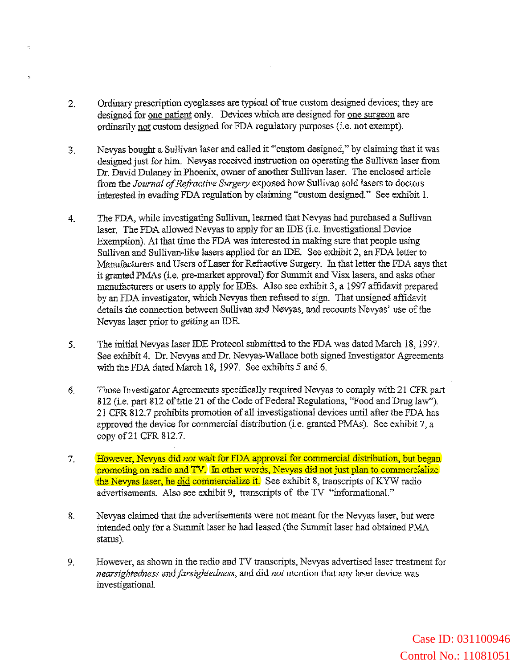2. Ordinary prescription eyeglasses are typical of true custom designed devices; they are designed for one patient only. Devices which are designed for one surgeon are ordinarily not custom designed for FDA regnlatory purposes (i.e. not exempt).

 $\mathbf{a}_i$ 

- 3. Nevyas bought a Sullivan laser and called it <'custom designed," by claiming that it was designed just for him. Nevyas received instruction on operating the Sullivan laser from Dr. David Dulaney in Phoenix, owner of another Sullivan laser. The enclosed article from the *Journal of Refractive Surgery* exposed how Sullivan sold lasers to doctors interested in evading FDA regulation by claiming "custom designed" See exhibit 1.
- 4. The FDA, while investigating Sullivan, learned that Nevyas had purchased a Sullivan laser. The FDA allowed Nevyas to apply for an IDE (i.e. Investigational Device Exemption). At that time the FDA was interested in making sure that people using Sullivan and Sullivan-like lasers applied for an IDE. See exhibit 2, an FDA letter to Manufacturers and Users ofLaser for Refractive Surgery. In that letter the FDA says that it granted PMAs (i.e. pre-market approval) for Summit and Visx lasers, and asks other manufacturers or users to apply for IDEs. Also see exhibit 3, a 1997 affidavit prepared by an FDA investigator, which Nevyas then refused to sign. That unsigned affidavit details the connection between Sullivan and Nevyas, and recounts Nevyas' use of the Nevyas laser prior to getting an IDE.
- 5. The initial Nevyas laser IDE Protocol submitted to the FDA was dated March 18, 1997. See exhibit 4. Dr. Nevyas and Dr. Nevyas-Wallace both signed Investigator Agreements with the FDA dated March 18, 1997. See exhibits 5 and 6.
- 6. Those Investigator Agreements specifically required Nevyas to comply with 21 CFR part 812 (i.e. part 812 of title 21 of the Code of Federal Regulations, "Food and Drug law"). 21 CPR 812.7 prohibits promotion of all investigational devices until after the FDA has approved the device for commercial distribution (i.e. granted PMAs). See exhibit 7, a copy of21 CFR 812.7.
- 7. Howaver, Nevyas did *not* weit for FDA approval for commercial distribution, but began promoting on radio and TV. In other words, Nevyas did not just plan to commercialize the Nevyas laser, he did commercialize it. See exhibit 8, transcripts of KYW radio advertisements. Also see exhibit 9, transcripts of the TV "informational."
- 8. Nevyas claimed that the advertisements were not meant for the Nevyas laser, but were intended only for a Summit laser he had leased (the Summit laser had obtained PMA. status).
- 9. However, as shown in the radio and TV transcripts, Nevyas advertised laser treatment for *nearsightedness andfarsightedness,* and did *not* mention that any laser device was investigational.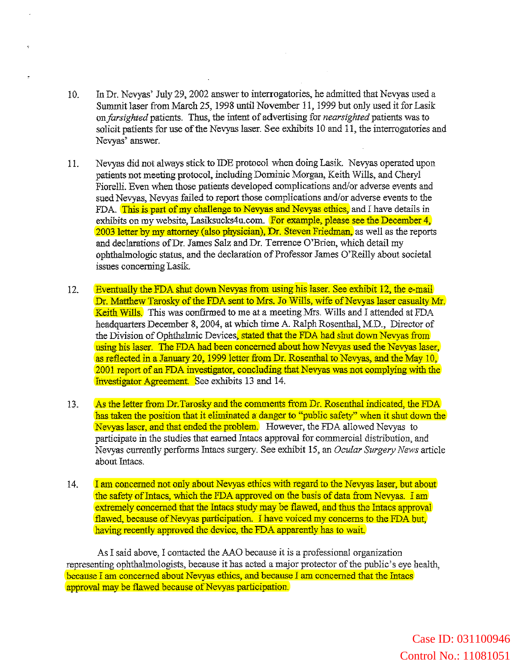- 10. In Dr. Nevyas' July 29,2002 answerto interrogatories, he admitted that Nevyas used a Summit laser from March 25, 1998 until November II, 1999 but only used it for Lasik on *farsighted* patients. Thus, the intent of advertising for *nearsighted* patients was to solicit patients for use of the Nevyas laser. See exhibits 10 and 11, the interrogatories and Nevyas' answer.
- 11. Nevyas did not always stick to IDE protocol when doing Lasik. Nevyas operated upon patients not meeting protocol, including Dominic Morgan, Keith Wills, and Cheryl Fiorelli. Even when those patients developed complications and/or adverse events and sued Nevyas, Nevyas failed to report those complications and/or adverse events to the FDA. This is part of my challenge to Nevyas and Nevyas ethics, and I have details in exhibits on my website, Lasiksucks4u.com. For example, please see the December 4, 2003 letter by my attorney (also physician), Dr. Steven Friedman, as well as the reports and declarations ofDr. James Salz and Dr. Terrence O'Brien, which detail my ophthalmologic status, and the declaration of Professor James O'Reilly about societal issues concerning Lasik.
- 12. Eventually the FDA shut down Nevyas from using his laser. See exhibit 12, the e-mail Dr. Matthew Tarosky of the FDA sent to Mrs. Jo Wills, wife of Nevyas laser casualty Mr. Keith Wills. This was confirmed to me at a meeting Mrs. Wills and I attended at FDA headquarters December 8, 2004, at which time A. Ralph Rosenthal, M.D., Director of the Division of Ophthalmic Devices, stated that the FDA had shut down Nevyas from using his laser. The FDA had been concerned about how Nevyas used the Nevyas laser, as reflected in a January 20, 1999 letter from Dr. Rosenthal to Nevyas, and the May 10, 2001 report of an FDA investigator, concluding that Nevyas was not complying with the Investigator Agreement. See exhibits 13 and 14.
- 13. As the letter from Dr.Tarosky and the comments from Dr. Rosenthal indicated, the FDA has taken the position that it eliminated a danger to "public safety" when it shut down the Nevyas laser, and that ended the problem. However, the FDA aliowed Nevyas to participate in the studies that earned Intacs approval for commercial distribution, and Nevyas currently performs Intacs surgery. See exhibit 15, an *Ocular Surgery News* article about Intacs.
- 14. I am concerned not only about Nevyas ethics with regard to the Nevyas laser, but about the safety of Intacs, which the FDA approved on the basis of data from Nevyas. I am extremely concerned that the Intacs study may be flawed, and thus the Intacs approval flawed, because of Nevyas participation. I have voiced my concerns to the FDA but, having recently approved the device, the FDA apparently has to wait.

As I said above, I contacted the AAO because it is a professional organization representing ophthalmologists, because it has acted a major protector of the public's eye health, because I am concerned about Nevyas ethics, and because I am concerned that the Intacs approval may be flawed because of Nevyas participation.